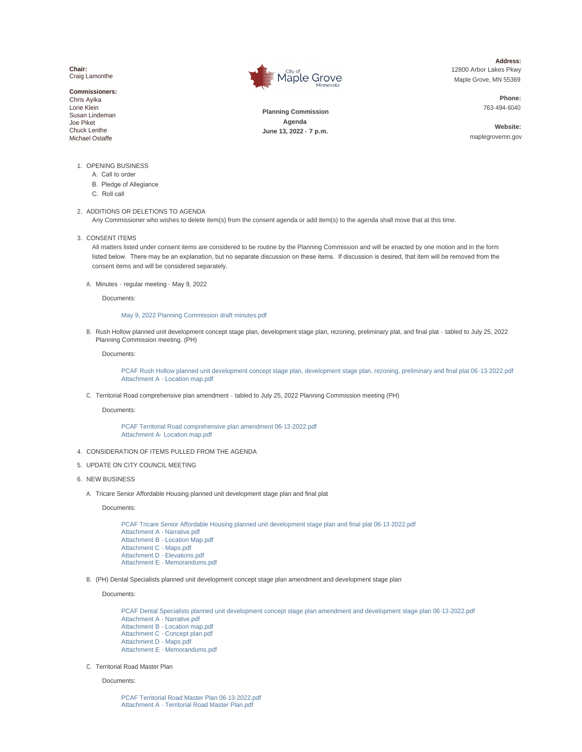**Chair:** Craig Lamonthe

**Commissioners:** Chris Ayika Lorie Klein Susan Lindeman Joe Piket Chuck Lenthe Michael Ostaffe



**Address:** 12800 Arbor Lakes Pkwy Maple Grove, MN 55369

> **Phone:** 763-494- 6040

**Planning Commission Agenda June 13, 2022 - 7 p.m.**

**Website:** maplegrovemn.gov

- 1. OPENING BUSINESS
	- A. Call to order
	- B. Pledge of Allegiance
	- C. Roll call

#### 2. ADDITIONS OR DELETIONS TO AGENDA

Any Commissioner who wishes to delete item(s) from the consent agenda or add item(s) to the agenda shall move that at this time.

3. CONSENT ITEMS

All matters listed under consent items are considered to be routine by the Planning Commission and will be enacted by one motion and in the form listed below. There may be an explanation, but no separate discussion on these items. If discussion is desired, that item will be removed from the consent items and will be considered separately.

A. Minutes - regular meeting - May 9, 2022

Documents:

# [May 9, 2022 Planning Commission draft minutes.pdf](https://www.maplegrovemn.gov/AgendaCenter/ViewFile/Item/2104?fileID=7357)

B. Rush Hollow planned unit development concept stage plan, development stage plan, rezoning, preliminary plat, and final plat - tabled to July 25, 2022 Planning Commission meeting. (PH)

Documents:

[PCAF Rush Hollow planned unit development concept stage plan, development stage plan,](https://www.maplegrovemn.gov/AgendaCenter/ViewFile/Item/2099?fileID=7339) rezoning, preliminary and final plat 06-13-2022.pdf [Attachment A - Location map.pdf](https://www.maplegrovemn.gov/AgendaCenter/ViewFile/Item/2099?fileID=7340)

C. Territorial Road comprehensive plan amendment - tabled to July 25, 2022 Planning Commission meeting (PH)

Documents:

[PCAF Territorial Road comprehensive plan amendment 06-](https://www.maplegrovemn.gov/AgendaCenter/ViewFile/Item/2100?fileID=7341) 13-2022.pdf [Attachment A- Location map.pdf](https://www.maplegrovemn.gov/AgendaCenter/ViewFile/Item/2100?fileID=7342)

4. CONSIDERATION OF ITEMS PULLED FROM THE AGENDA

#### UPDATE ON CITY COUNCIL MEETING 5.

- 6. NEW BUSINESS
	- A. Tricare Senior Affordable Housing planned unit development stage plan and final plat

Documents:

[PCAF Tricare Senior Affordable Housing planned unit development stage plan and final plat 0](https://www.maplegrovemn.gov/AgendaCenter/ViewFile/Item/2101?fileID=7343)6-13-2022.pdf [Attachment A - Narrative.pdf](https://www.maplegrovemn.gov/AgendaCenter/ViewFile/Item/2101?fileID=7344) [Attachment B - Location Map.pdf](https://www.maplegrovemn.gov/AgendaCenter/ViewFile/Item/2101?fileID=7345) [Attachment C - Maps.pdf](https://www.maplegrovemn.gov/AgendaCenter/ViewFile/Item/2101?fileID=7346) [Attachment D - Elevations.pdf](https://www.maplegrovemn.gov/AgendaCenter/ViewFile/Item/2101?fileID=7348) [Attachment E - Memorandums.pdf](https://www.maplegrovemn.gov/AgendaCenter/ViewFile/Item/2101?fileID=7347)

(PH) Dental Specialists planned unit development concept stage plan amendment and development stage plan B.

Documents:

[PCAF Dental Specialists planned unit development concept stage plan amendment and d](https://www.maplegrovemn.gov/AgendaCenter/ViewFile/Item/2102?fileID=7349)evelopment stage plan 06-13-2022.pdf [Attachment A - Narrative.pdf](https://www.maplegrovemn.gov/AgendaCenter/ViewFile/Item/2102?fileID=7351) [Attachment B - Location map.pdf](https://www.maplegrovemn.gov/AgendaCenter/ViewFile/Item/2102?fileID=7352) [Attachment C - Concept plan.pdf](https://www.maplegrovemn.gov/AgendaCenter/ViewFile/Item/2102?fileID=7353) [Attachment D - Maps.pdf](https://www.maplegrovemn.gov/AgendaCenter/ViewFile/Item/2102?fileID=7354) [Attachment E - Memorandums.pdf](https://www.maplegrovemn.gov/AgendaCenter/ViewFile/Item/2102?fileID=7350)

C. Territorial Road Master Plan

#### Documents:

[PCAF Territorial Road Master Plan 06-](https://www.maplegrovemn.gov/AgendaCenter/ViewFile/Item/2103?fileID=7355) 13-2022.pdf [Attachment A - Territorial Road Master Plan.pdf](https://www.maplegrovemn.gov/AgendaCenter/ViewFile/Item/2103?fileID=7356)